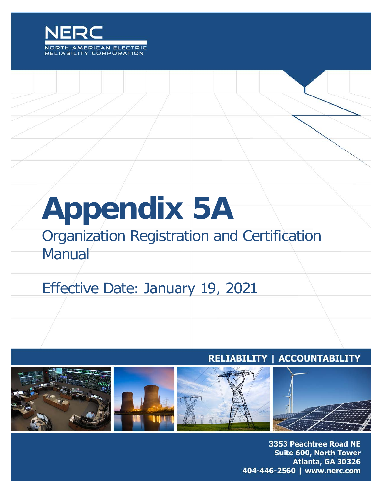

# **Appendix 5A**

## Organization Registration and Certification Manual

# Effective Date: January 19, 2021

## RELIABILITY | ACCOUNTABILITY



3353 Peachtree Road NE Suite 600, North Tower Atlanta, GA 30326 404-446-2560 | www.nerc.com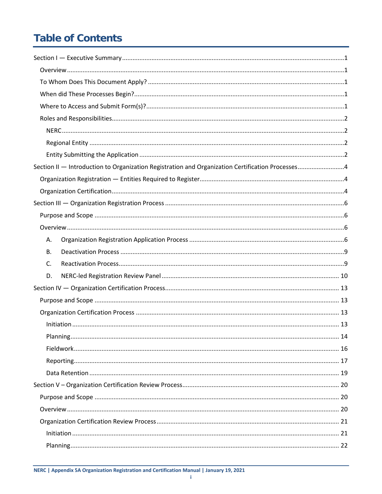## **Table of Contents**

| Section II - Introduction to Organization Registration and Organization Certification Processes4 |  |
|--------------------------------------------------------------------------------------------------|--|
|                                                                                                  |  |
|                                                                                                  |  |
|                                                                                                  |  |
|                                                                                                  |  |
|                                                                                                  |  |
| Α.                                                                                               |  |
| <b>B.</b>                                                                                        |  |
| C.                                                                                               |  |
| D.                                                                                               |  |
|                                                                                                  |  |
|                                                                                                  |  |
|                                                                                                  |  |
|                                                                                                  |  |
|                                                                                                  |  |
|                                                                                                  |  |
|                                                                                                  |  |
|                                                                                                  |  |
|                                                                                                  |  |
|                                                                                                  |  |
|                                                                                                  |  |
|                                                                                                  |  |
|                                                                                                  |  |
|                                                                                                  |  |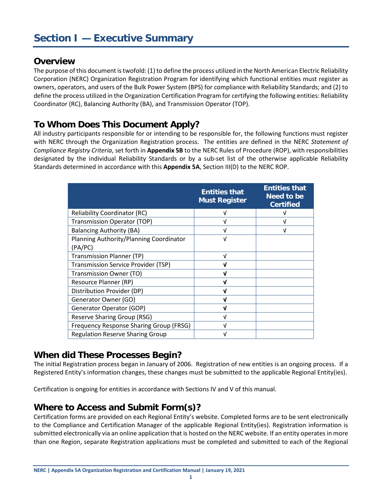#### <span id="page-3-1"></span><span id="page-3-0"></span>**Overview**

The purpose of this document is twofold: (1) to define the process utilized in the North American Electric Reliability Corporation (NERC) Organization Registration Program for identifying which functional entities must register as owners, operators, and users of the Bulk Power System (BPS) for compliance with Reliability Standards; and (2) to define the process utilized in the Organization Certification Program for certifying the following entities: Reliability Coordinator (RC), Balancing Authority (BA), and Transmission Operator (TOP).

## <span id="page-3-2"></span>**To Whom Does This Document Apply?**

All industry participants responsible for or intending to be responsible for, the following functions must register with NERC through the Organization Registration process. The entities are defined in the NERC *Statement of Compliance Registry Criteria*, set forth in **Appendix 5B** to the NERC Rules of Procedure (ROP), with responsibilities designated by the individual Reliability Standards or by a sub-set list of the otherwise applicable Reliability Standards determined in accordance with this **Appendix 5A**, Section III(D) to the NERC ROP.

|                                                    | <b>Entities that</b><br><b>Must Register</b> | <b>Entities that</b><br>Need to be<br><b>Certified</b> |
|----------------------------------------------------|----------------------------------------------|--------------------------------------------------------|
| <b>Reliability Coordinator (RC)</b>                | v                                            |                                                        |
| <b>Transmission Operator (TOP)</b>                 | v                                            | ν                                                      |
| <b>Balancing Authority (BA)</b>                    | v                                            | ν                                                      |
| Planning Authority/Planning Coordinator<br>(PA/PC) | V                                            |                                                        |
| Transmission Planner (TP)                          | $\sqrt{ }$                                   |                                                        |
| <b>Transmission Service Provider (TSP)</b>         | ν                                            |                                                        |
| Transmission Owner (TO)                            | J                                            |                                                        |
| Resource Planner (RP)                              | J                                            |                                                        |
| Distribution Provider (DP)                         | ν                                            |                                                        |
| Generator Owner (GO)                               | ν                                            |                                                        |
| Generator Operator (GOP)                           |                                              |                                                        |
| Reserve Sharing Group (RSG)                        | v                                            |                                                        |
| Frequency Response Sharing Group (FRSG)            | V                                            |                                                        |
| <b>Regulation Reserve Sharing Group</b>            | ν                                            |                                                        |

## <span id="page-3-3"></span>**When did These Processes Begin?**

The initial Registration process began in January of 2006. Registration of new entities is an ongoing process. If a Registered Entity's information changes, these changes must be submitted to the applicable Regional Entity(ies).

Certification is ongoing for entities in accordance with Sections IV and V of this manual.

## <span id="page-3-4"></span>**Where to Access and Submit Form(s)?**

Certification forms are provided on each Regional Entity's website. Completed forms are to be sent electronically to the Compliance and Certification Manager of the applicable Regional Entity(ies). Registration information is submitted electronically via an online application that is hosted on the NERC website. If an entity operates in more than one Region, separate Registration applications must be completed and submitted to each of the Regional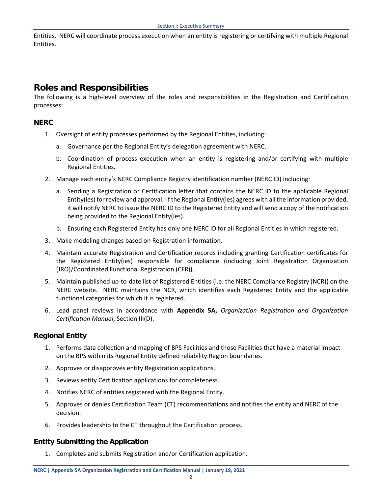Entities. NERC will coordinate process execution when an entity is registering or certifying with multiple Regional Entities.

## <span id="page-4-0"></span>**Roles and Responsibilities**

The following is a high-level overview of the roles and responsibilities in the Registration and Certification processes:

#### <span id="page-4-1"></span>**NERC**

- 1. Oversight of entity processes performed by the Regional Entities, including:
	- a. Governance per the Regional Entity's delegation agreement with NERC.
	- b. Coordination of process execution when an entity is registering and/or certifying with multiple Regional Entities.
- 2. Manage each entity's NERC Compliance Registry identification number (NERC ID) including:
	- a. Sending a Registration or Certification letter that contains the NERC ID to the applicable Regional Entity(ies) for review and approval. If the Regional Entity(ies) agrees with all the information provided, it will notify NERC to issue the NERC ID to the Registered Entity and will send a copy of the notification being provided to the Regional Entity(ies).
	- b. Ensuring each Registered Entity has only one NERC ID for all Regional Entities in which registered.
- 3. Make modeling changes based on Registration information.
- 4. Maintain accurate Registration and Certification records including granting Certification certificates for the Registered Entity(ies) responsible for compliance (including Joint Registration Organization (JRO)/Coordinated Functional Registration (CFR)).
- 5. Maintain published up-to-date list of Registered Entities (i.e. the NERC Compliance Registry (NCR)) on the NERC website. NERC maintains the NCR, which identifies each Registered Entity and the applicable functional categories for which it is registered.
- 6. Lead panel reviews in accordance with **Appendix 5A,** *Organization Registration and Organization Certification Manual*, Section III(D).

#### <span id="page-4-2"></span>**Regional Entity**

- 1. Performs data collection and mapping of BPS Facilities and those Facilities that have a material impact on the BPS within its Regional Entity defined reliability Region boundaries.
- 2. Approves or disapproves entity Registration applications.
- 3. Reviews entity Certification applications for completeness.
- 4. Notifies NERC of entities registered with the Regional Entity.
- 5. Approves or denies Certification Team (CT) recommendations and notifies the entity and NERC of the decision.
- 6. Provides leadership to the CT throughout the Certification process.

#### <span id="page-4-3"></span>**Entity Submitting the Application**

1. Completes and submits Registration and/or Certification application.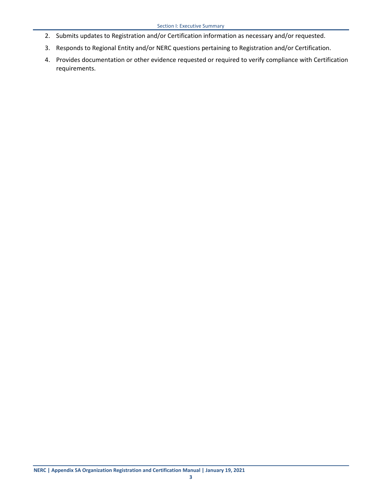- 2. Submits updates to Registration and/or Certification information as necessary and/or requested.
- 3. Responds to Regional Entity and/or NERC questions pertaining to Registration and/or Certification.
- 4. Provides documentation or other evidence requested or required to verify compliance with Certification requirements.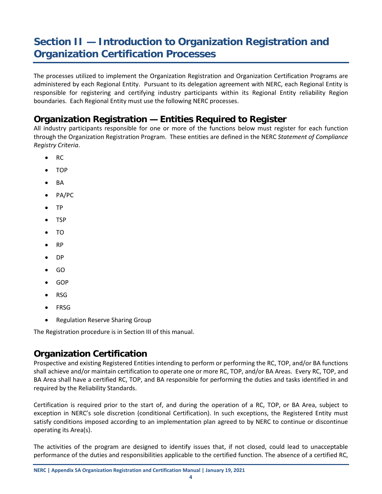## <span id="page-6-0"></span>**Section II — Introduction to Organization Registration and Organization Certification Processes**

The processes utilized to implement the Organization Registration and Organization Certification Programs are administered by each Regional Entity. Pursuant to its delegation agreement with NERC, each Regional Entity is responsible for registering and certifying industry participants within its Regional Entity reliability Region boundaries. Each Regional Entity must use the following NERC processes.

## <span id="page-6-1"></span>**Organization Registration — Entities Required to Register**

All industry participants responsible for one or more of the functions below must register for each function through the Organization Registration Program. These entities are defined in the NERC *Statement of Compliance Registry Criteria*.

- RC
- TOP
- BA
- PA/PC
- TP
- TSP
- TO
- RP
- DP
- GO
- GOP
- RSG
- FRSG
- Regulation Reserve Sharing Group

The Registration procedure is in Section III of this manual.

## <span id="page-6-2"></span>**Organization Certification**

Prospective and existing Registered Entities intending to perform or performing the RC, TOP, and/or BA functions shall achieve and/or maintain certification to operate one or more RC, TOP, and/or BA Areas. Every RC, TOP, and BA Area shall have a certified RC, TOP, and BA responsible for performing the duties and tasks identified in and required by the Reliability Standards.

Certification is required prior to the start of, and during the operation of a RC, TOP, or BA Area, subject to exception in NERC's sole discretion (conditional Certification). In such exceptions, the Registered Entity must satisfy conditions imposed according to an implementation plan agreed to by NERC to continue or discontinue operating its Area(s).

The activities of the program are designed to identify issues that, if not closed, could lead to unacceptable performance of the duties and responsibilities applicable to the certified function. The absence of a certified RC,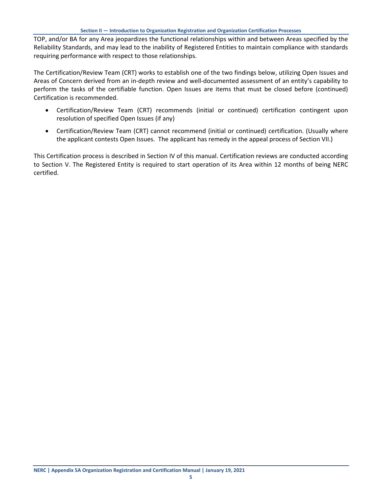TOP, and/or BA for any Area jeopardizes the functional relationships within and between Areas specified by the Reliability Standards, and may lead to the inability of Registered Entities to maintain compliance with standards requiring performance with respect to those relationships.

The Certification/Review Team (CRT) works to establish one of the two findings below, utilizing Open Issues and Areas of Concern derived from an in-depth review and well-documented assessment of an entity's capability to perform the tasks of the certifiable function. Open Issues are items that must be closed before (continued) Certification is recommended.

- Certification/Review Team (CRT) recommends (initial or continued) certification contingent upon resolution of specified Open Issues (if any)
- Certification/Review Team (CRT) cannot recommend (initial or continued) certification. (Usually where the applicant contests Open Issues. The applicant has remedy in the appeal process of Section VII.)

This Certification process is described in Section IV of this manual. Certification reviews are conducted according to Section V. The Registered Entity is required to start operation of its Area within 12 months of being NERC certified.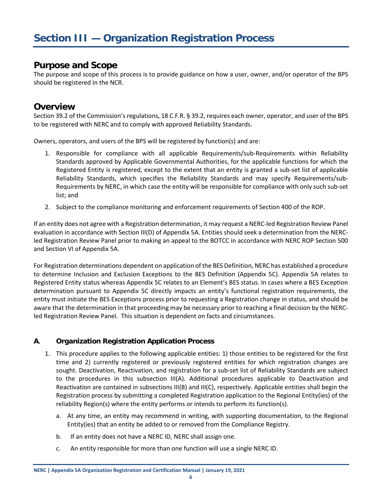#### <span id="page-8-1"></span><span id="page-8-0"></span>**Purpose and Scope**

The purpose and scope of this process is to provide guidance on how a user, owner, and/or operator of the BPS should be registered in the NCR.

#### <span id="page-8-2"></span>**Overview**

Section 39.2 of the Commission's regulations, 18 C.F.R. § 39.2, requires each owner, operator, and user of the BPS to be registered with NERC and to comply with approved Reliability Standards.

Owners, operators, and users of the BPS will be registered by function(s) and are:

- 1. Responsible for compliance with all applicable Requirements/sub-Requirements within Reliability Standards approved by Applicable Governmental Authorities, for the applicable functions for which the Registered Entity is registered, except to the extent that an entity is granted a sub-set list of applicable Reliability Standards, which specifies the Reliability Standards and may specify Requirements/sub-Requirements by NERC, in which case the entity will be responsible for compliance with only such sub-set list; and
- 2. Subject to the compliance monitoring and enforcement requirements of Section 400 of the ROP.

If an entity does not agree with a Registration determination, it may request a NERC-led Registration Review Panel evaluation in accordance with Section III(D) of Appendix 5A. Entities should seek a determination from the NERCled Registration Review Panel prior to making an appeal to the BOTCC in accordance with NERC ROP Section 500 and Section VI of Appendix 5A.

For Registration determinations dependent on application of the BES Definition, NERC has established a procedure to determine Inclusion and Exclusion Exceptions to the BES Definition (Appendix 5C). Appendix 5A relates to Registered Entity status whereas Appendix 5C relates to an Element's BES status. In cases where a BES Exception determination pursuant to Appendix 5C directly impacts an entity's functional registration requirements, the entity must initiate the BES Exceptions process prior to requesting a Registration change in status, and should be aware that the determination in that proceeding may be necessary prior to reaching a final decision by the NERCled Registration Review Panel. This situation is dependent on facts and circumstances.

#### <span id="page-8-3"></span>**A. Organization Registration Application Process**

- 1. This procedure applies to the following applicable entities: 1) those entities to be registered for the first time and 2) currently registered or previously registered entities for which registration changes are sought. Deactivation, Reactivation, and registration for a sub-set list of Reliability Standards are subject to the procedures in this subsection III(A). Additional procedures applicable to Deactivation and Reactivation are contained in subsections III(B) and III(C), respectively. Applicable entities shall begin the Registration process by submitting a completed [Registration application](http://www.nerc.com/%7Eorg/certifcation_registration_sample_forms.html) to the Regional Entity(ies) of the reliability Region(s) where the entity performs or intends to perform its function(s).
	- a. At any time, an entity may recommend in writing, with supporting documentation, to the Regional Entity(ies) that an entity be added to or removed from the Compliance Registry.
	- b. If an entity does not have a NERC ID, NERC shall assign one.
	- c. An entity responsible for more than one function will use a single NERC ID.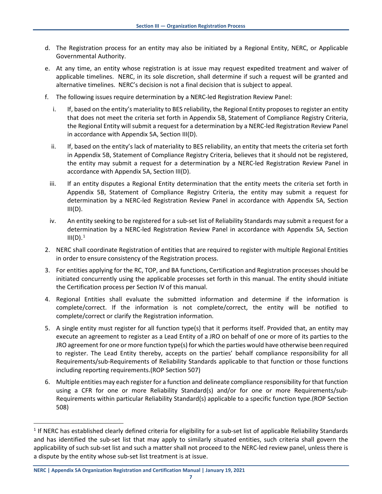- d. The Registration process for an entity may also be initiated by a Regional Entity, NERC, or Applicable Governmental Authority.
- e. At any time, an entity whose registration is at issue may request expedited treatment and waiver of applicable timelines. NERC, in its sole discretion, shall determine if such a request will be granted and alternative timelines. NERC's decision is not a final decision that is subject to appeal.
- f. The following issues require determination by a NERC-led Registration Review Panel:
	- i. If, based on the entity's materiality to BES reliability, the Regional Entity proposes to register an entity that does not meet the criteria set forth in Appendix 5B, Statement of Compliance Registry Criteria, the Regional Entity will submit a request for a determination by a NERC-led Registration Review Panel in accordance with Appendix 5A, Section III(D).
	- ii. If, based on the entity's lack of materiality to BES reliability, an entity that meets the criteria set forth in Appendix 5B, Statement of Compliance Registry Criteria, believes that it should not be registered, the entity may submit a request for a determination by a NERC-led Registration Review Panel in accordance with Appendix 5A, Section III(D).
	- iii. If an entity disputes a Regional Entity determination that the entity meets the criteria set forth in Appendix 5B, Statement of Compliance Registry Criteria, the entity may submit a request for determination by a NERC-led Registration Review Panel in accordance with Appendix 5A, Section  $III(D)$ .
	- iv. An entity seeking to be registered for a sub-set list of Reliability Standards may submit a request for a determination by a NERC-led Registration Review Panel in accordance with Appendix 5A, Section  $III(D).<sup>1</sup>$  $III(D).<sup>1</sup>$  $III(D).<sup>1</sup>$
- 2. NERC shall coordinate Registration of entities that are required to register with multiple Regional Entities in order to ensure consistency of the Registration process.
- 3. For entities applying for the RC, TOP, and BA functions, Certification and Registration processes should be initiated concurrently using the applicable processes set forth in this manual. The entity should initiate the Certification process per Section IV of this manual.
- 4. Regional Entities shall evaluate the submitted information and determine if the information is complete/correct. If the information is not complete/correct, the entity will be notified to complete/correct or clarify the Registration information.
- 5. A single entity must register for all function type(s) that it performs itself. Provided that, an entity may execute an agreement to register as a Lead Entity of a JRO on behalf of one or more of its parties to the JRO agreement for one or more function type(s) for which the parties would have otherwise been required to register. The Lead Entity thereby, accepts on the parties' behalf compliance responsibility for all Requirements/sub-Requirements of Reliability Standards applicable to that function or those functions including reporting requirements.(ROP Section 507)
- 6. Multiple entities may each register for a function and delineate compliance responsibility for that function using a CFR for one or more Reliability Standard(s) and/or for one or more Requirements/sub-Requirements within particular Reliability Standard(s) applicable to a specific function type.(ROP Section 508)

<span id="page-9-0"></span><sup>1</sup> If NERC has established clearly defined criteria for eligibility for a sub-set list of applicable Reliability Standards and has identified the sub-set list that may apply to similarly situated entities, such criteria shall govern the applicability of such sub-set list and such a matter shall not proceed to the NERC-led review panel, unless there is a dispute by the entity whose sub-set list treatment is at issue.

**NERC | Appendix 5A Organization Registration and Certification Manual | January 19, 2021**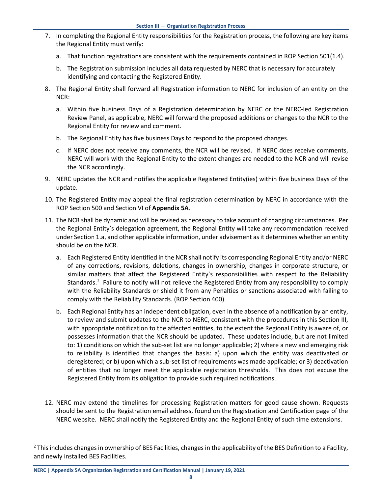- 7. In completing the Regional Entity responsibilities for the Registration process, the following are key items the Regional Entity must verify:
	- a. That function registrations are consistent with the requirements contained in ROP Section 501(1.4).
	- b. The Registration submission includes all data requested by NERC that is necessary for accurately identifying and contacting the Registered Entity.
- 8. The Regional Entity shall forward all Registration information to NERC for inclusion of an entity on the NCR:
	- a. Within five business Days of a Registration determination by NERC or the NERC-led Registration Review Panel, as applicable, NERC will forward the proposed additions or changes to the NCR to the Regional Entity for review and comment.
	- b. The Regional Entity has five business Days to respond to the proposed changes.
	- c. If NERC does not receive any comments, the NCR will be revised. If NERC does receive comments, NERC will work with the Regional Entity to the extent changes are needed to the NCR and will revise the NCR accordingly.
- 9. NERC updates the NCR and notifies the applicable Registered Entity(ies) within five business Days of the update.
- 10. The Registered Entity may appeal the final registration determination by NERC in accordance with the ROP Section 500 and Section VI of **Appendix 5A**.
- 11. The NCR shall be dynamic and will be revised as necessary to take account of changing circumstances. Per the Regional Entity's delegation agreement, the Regional Entity will take any recommendation received under Section 1.a, and other applicable information, under advisement as it determines whether an entity should be on the NCR.
	- a. Each Registered Entity identified in the NCR shall notify its corresponding Regional Entity and/or NERC of any corrections, revisions, deletions, changes in ownership, changes in corporate structure, or similar matters that affect the Registered Entity's responsibilities with respect to the Reliability Standards.<sup>[2](#page-10-0)</sup> Failure to notify will not relieve the Registered Entity from any responsibility to comply with the Reliability Standards or shield it from any Penalties or sanctions associated with failing to comply with the Reliability Standards. (ROP Section 400).
	- b. Each Regional Entity has an independent obligation, even in the absence of a notification by an entity, to review and submit updates to the NCR to NERC, consistent with the procedures in this Section III, with appropriate notification to the affected entities, to the extent the Regional Entity is aware of, or possesses information that the NCR should be updated. These updates include, but are not limited to: 1) conditions on which the sub-set list are no longer applicable; 2) where a new and emerging risk to reliability is identified that changes the basis: a) upon which the entity was deactivated or deregistered; or b) upon which a sub-set list of requirements was made applicable; or 3) deactivation of entities that no longer meet the applicable registration thresholds. This does not excuse the Registered Entity from its obligation to provide such required notifications.
- 12. NERC may extend the timelines for processing Registration matters for good cause shown. Requests should be sent to the Registration email address, found on the Registration and Certification page of the NERC website. NERC shall notify the Registered Entity and the Regional Entity of such time extensions.

<span id="page-10-0"></span> $<sup>2</sup>$  This includes changes in ownership of BES Facilities, changes in the applicability of the BES Definition to a Facility,</sup> and newly installed BES Facilities.

**NERC | Appendix 5A Organization Registration and Certification Manual | January 19, 2021**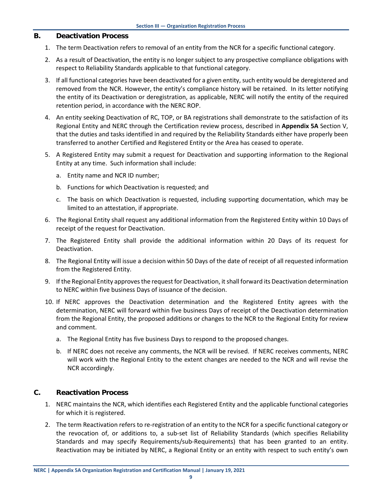#### <span id="page-11-0"></span>**B. Deactivation Process**

- 1. The term Deactivation refers to removal of an entity from the NCR for a specific functional category.
- 2. As a result of Deactivation, the entity is no longer subject to any prospective compliance obligations with respect to Reliability Standards applicable to that functional category.
- 3. If all functional categories have been deactivated for a given entity, such entity would be deregistered and removed from the NCR. However, the entity's compliance history will be retained. In its letter notifying the entity of its Deactivation or deregistration, as applicable, NERC will notify the entity of the required retention period, in accordance with the NERC ROP.
- 4. An entity seeking Deactivation of RC, TOP, or BA registrations shall demonstrate to the satisfaction of its Regional Entity and NERC through the Certification review process, described in **Appendix 5A** Section V, that the duties and tasks identified in and required by the Reliability Standards either have properly been transferred to another Certified and Registered Entity or the Area has ceased to operate.
- 5. A Registered Entity may submit a request for Deactivation and supporting information to the Regional Entity at any time. Such information shall include:
	- a. Entity name and NCR ID number;
	- b. Functions for which Deactivation is requested; and
	- c. The basis on which Deactivation is requested, including supporting documentation, which may be limited to an attestation, if appropriate.
- 6. The Regional Entity shall request any additional information from the Registered Entity within 10 Days of receipt of the request for Deactivation.
- 7. The Registered Entity shall provide the additional information within 20 Days of its request for Deactivation.
- 8. The Regional Entity will issue a decision within 50 Days of the date of receipt of all requested information from the Registered Entity.
- 9. If the Regional Entity approvesthe request for Deactivation, it shall forward its Deactivation determination to NERC within five business Days of issuance of the decision.
- 10. If NERC approves the Deactivation determination and the Registered Entity agrees with the determination, NERC will forward within five business Days of receipt of the Deactivation determination from the Regional Entity, the proposed additions or changes to the NCR to the Regional Entity for review and comment.
	- a. The Regional Entity has five business Days to respond to the proposed changes.
	- b. If NERC does not receive any comments, the NCR will be revised. If NERC receives comments, NERC will work with the Regional Entity to the extent changes are needed to the NCR and will revise the NCR accordingly.

#### <span id="page-11-1"></span>**C. Reactivation Process**

- 1. NERC maintains the NCR, which identifies each Registered Entity and the applicable functional categories for which it is registered.
- 2. The term Reactivation refers to re-registration of an entity to the NCR for a specific functional category or the revocation of, or additions to, a sub-set list of Reliability Standards (which specifies Reliability Standards and may specify Requirements/sub-Requirements) that has been granted to an entity. Reactivation may be initiated by NERC, a Regional Entity or an entity with respect to such entity's own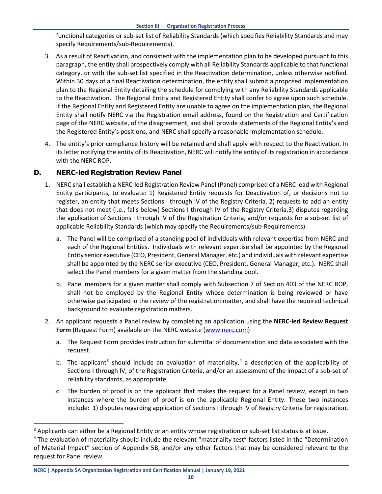functional categories or sub-set list of Reliability Standards (which specifies Reliability Standards and may specify Requirements/sub-Requirements).

- 3. As a result of Reactivation, and consistent with the implementation plan to be developed pursuant to this paragraph, the entity shall prospectively comply with all Reliability Standards applicable to that functional category, or with the sub-set list specified in the Reactivation determination, unless otherwise notified. Within 30 days of a final Reactivation determination, the entity shall submit a proposed implementation plan to the Regional Entity detailing the schedule for complying with any Reliability Standards applicable to the Reactivation. The Regional Entity and Registered Entity shall confer to agree upon such schedule. If the Regional Entity and Registered Entity are unable to agree on the implementation plan, the Regional Entity shall notify NERC via the Registration email address, found on the Registration and Certification page of the NERC website, of the disagreement, and shall provide statements of the Regional Entity's and the Registered Entity's positions, and NERC shall specify a reasonable implementation schedule.
- 4. The entity's prior compliance history will be retained and shall apply with respect to the Reactivation. In its letter notifying the entity of its Reactivation, NERC will notify the entity of its registration in accordance with the NERC ROP.

#### <span id="page-12-0"></span>**D. NERC-led Registration Review Panel**

- 1. NERC shall establish a NERC-led Registration Review Panel (Panel) comprised of a NERC lead with Regional Entity participants, to evaluate: 1) Registered Entity requests for Deactivation of, or decisions not to register, an entity that meets Sections I through IV of the Registry Criteria, 2) requests to add an entity that does not meet (i.e., falls below) Sections I through IV of the Registry Criteria,3) disputes regarding the application of Sections I through IV of the Registration Criteria, and/or requests for a sub-set list of applicable Reliability Standards (which may specify the Requirements/sub-Requirements).
	- a. The Panel will be comprised of a standing pool of individuals with relevant expertise from NERC and each of the Regional Entities. Individuals with relevant expertise shall be appointed by the Regional Entity senior executive (CEO, President, General Manager, etc.) and individuals with relevant expertise shall be appointed by the NERC senior executive (CEO, President, General Manager, etc.). NERC shall select the Panel members for a given matter from the standing pool.
	- b. Panel members for a given matter shall comply with Subsection 7 of Section 403 of the NERC ROP, shall not be employed by the Regional Entity whose determination is being reviewed or have otherwise participated in the review of the registration matter, and shall have the required technical background to evaluate registration matters.
- 2. An applicant requests a Panel review by completing an application using the **NERC-led Review Request Form** (Request Form) available on the NERC website [\(www.nerc.com\)](http://www.nerc.com/)
	- a. The Request Form provides instruction for submittal of documentation and data associated with the request.
	- b. The applicant<sup>[3](#page-12-1)</sup> should include an evaluation of materiality,<sup>[4](#page-12-2)</sup> a description of the applicability of Sections I through IV, of the Registration Criteria, and/or an assessment of the impact of a sub-set of reliability standards, as appropriate.
	- c. The burden of proof is on the applicant that makes the request for a Panel review, except in two instances where the burden of proof is on the applicable Regional Entity. These two instances include: 1) disputes regarding application of Sections I through IV of Registry Criteria for registration,

<span id="page-12-1"></span><sup>&</sup>lt;sup>3</sup> Applicants can either be a Regional Entity or an entity whose registration or sub-set list status is at issue.

<span id="page-12-2"></span><sup>4</sup> The evaluation of materiality should include the relevant "materiality test" factors listed in the "Determination of Material Impact" section of Appendix 5B, and/or any other factors that may be considered relevant to the request for Panel review.

**NERC | Appendix 5A Organization Registration and Certification Manual | January 19, 2021**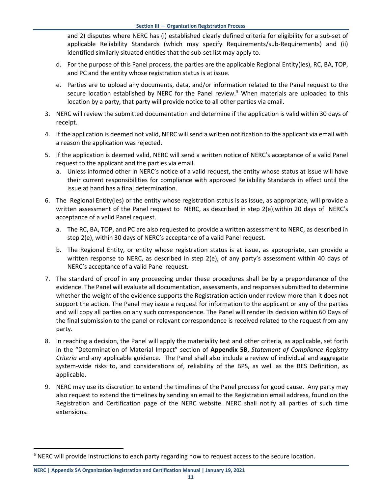and 2) disputes where NERC has (i) established clearly defined criteria for eligibility for a sub-set of applicable Reliability Standards (which may specify Requirements/sub-Requirements) and (ii) identified similarly situated entities that the sub-set list may apply to.

- d. For the purpose of this Panel process, the parties are the applicable Regional Entity(ies), RC, BA, TOP, and PC and the entity whose registration status is at issue.
- e. Parties are to upload any documents, data, and/or information related to the Panel request to the secure location established by NERC for the Panel review.<sup>[5](#page-13-0)</sup> When materials are uploaded to this location by a party, that party will provide notice to all other parties via email.
- 3. NERC will review the submitted documentation and determine if the application is valid within 30 days of receipt.
- 4. If the application is deemed not valid, NERC will send a written notification to the applicant via email with a reason the application was rejected.
- 5. If the application is deemed valid, NERC will send a written notice of NERC's acceptance of a valid Panel request to the applicant and the parties via email.
	- a. Unless informed other in NERC's notice of a valid request, the entity whose status at issue will have their current responsibilities for compliance with approved Reliability Standards in effect until the issue at hand has a final determination.
- 6. The Regional Entity(ies) or the entity whose registration status is as issue, as appropriate, will provide a written assessment of the Panel request to NERC, as described in step 2(e),within 20 days of NERC's acceptance of a valid Panel request.
	- a. The RC, BA, TOP, and PC are also requested to provide a written assessment to NERC, as described in step 2(e), within 30 days of NERC's acceptance of a valid Panel request.
	- b. The Regional Entity, or entity whose registration status is at issue, as appropriate, can provide a written response to NERC, as described in step 2(e), of any party's assessment within 40 days of NERC's acceptance of a valid Panel request.
- 7. The standard of proof in any proceeding under these procedures shall be by a preponderance of the evidence. The Panel will evaluate all documentation, assessments, and responses submitted to determine whether the weight of the evidence supports the Registration action under review more than it does not support the action. The Panel may issue a request for information to the applicant or any of the parties and will copy all parties on any such correspondence. The Panel will render its decision within 60 Days of the final submission to the panel or relevant correspondence is received related to the request from any party.
- 8. In reaching a decision, the Panel will apply the materiality test and other criteria, as applicable, set forth in the "Determination of Material Impact" section of **Appendix 5B**, *Statement of Compliance Registry Criteria* and any applicable guidance. The Panel shall also include a review of individual and aggregate system-wide risks to, and considerations of, reliability of the BPS, as well as the BES Definition, as applicable.
- 9. NERC may use its discretion to extend the timelines of the Panel process for good cause. Any party may also request to extend the timelines by sending an email to the Registration email address, found on the Registration and Certification page of the NERC website. NERC shall notify all parties of such time extensions.

**NERC | Appendix 5A Organization Registration and Certification Manual | January 19, 2021**

<span id="page-13-0"></span><sup>&</sup>lt;sup>5</sup> NERC will provide instructions to each party regarding how to request access to the secure location.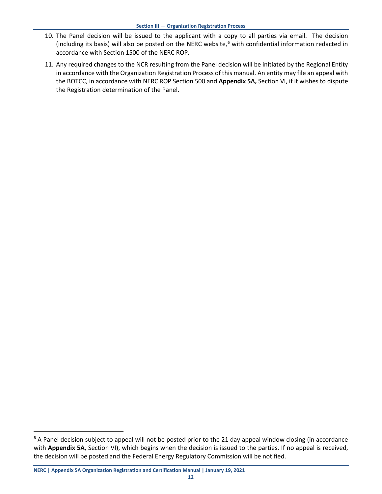- 10. The Panel decision will be issued to the applicant with a copy to all parties via email. The decision (including its basis) will also be posted on the NERC website, $6$  with confidential information redacted in accordance with Section 1500 of the NERC ROP.
- 11. Any required changes to the NCR resulting from the Panel decision will be initiated by the Regional Entity in accordance with the Organization Registration Process of this manual. An entity may file an appeal with the BOTCC, in accordance with NERC ROP Section 500 and **Appendix 5A,** Section VI, if it wishes to dispute the Registration determination of the Panel.

<span id="page-14-0"></span><sup>&</sup>lt;sup>6</sup> A Panel decision subject to appeal will not be posted prior to the 21 day appeal window closing (in accordance with **Appendix 5A**, Section VI), which begins when the decision is issued to the parties. If no appeal is received, the decision will be posted and the Federal Energy Regulatory Commission will be notified.

**NERC | Appendix 5A Organization Registration and Certification Manual | January 19, 2021**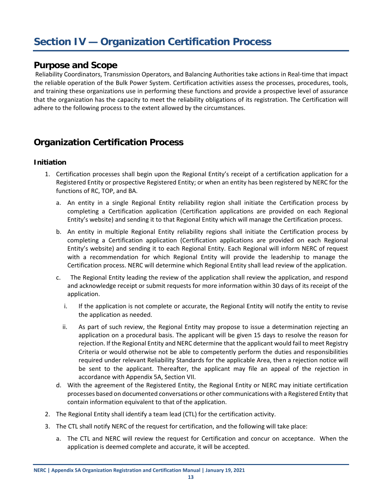## <span id="page-15-0"></span>**Section IV — Organization Certification Process**

#### <span id="page-15-1"></span>**Purpose and Scope**

Reliability Coordinators, Transmission Operators, and Balancing Authorities take actions in Real-time that impact the reliable operation of the Bulk Power System. Certification activities assess the processes, procedures, tools, and training these organizations use in performing these functions and provide a prospective level of assurance that the organization has the capacity to meet the reliability obligations of its registration. The Certification will adhere to the following process to the extent allowed by the circumstances.

## <span id="page-15-2"></span>**Organization Certification Process**

#### <span id="page-15-3"></span>**Initiation**

- 1. Certification processes shall begin upon the Regional Entity's receipt of a certification application for a Registered Entity or prospective Registered Entity; or when an entity has been registered by NERC for the functions of RC, TOP, and BA.
	- a. An entity in a single Regional Entity reliability region shall initiate the Certification process by completing a Certification application (Certification applications are provided on each Regional Entity's website) and sending it to that Regional Entity which will manage the Certification process.
	- b. An entity in multiple Regional Entity reliability regions shall initiate the Certification process by completing a Certification application (Certification applications are provided on each Regional Entity's website) and sending it to each Regional Entity. Each Regional will inform NERC of request with a recommendation for which Regional Entity will provide the leadership to manage the Certification process. NERC will determine which Regional Entity shall lead review of the application.
	- c. The Regional Entity leading the review of the application shall review the application, and respond and acknowledge receipt or submit requests for more information within 30 days of its receipt of the application.
		- i. If the application is not complete or accurate, the Regional Entity will notify the entity to revise the application as needed.
		- ii. As part of such review, the Regional Entity may propose to issue a determination rejecting an application on a procedural basis. The applicant will be given 15 days to resolve the reason for rejection. If the Regional Entity and NERC determine that the applicant would fail to meet Registry Criteria or would otherwise not be able to competently perform the duties and responsibilities required under relevant Reliability Standards for the applicable Area, then a rejection notice will be sent to the applicant. Thereafter, the applicant may file an appeal of the rejection in accordance with Appendix 5A, Section VII.
	- d. With the agreement of the Registered Entity, the Regional Entity or NERC may initiate certification processes based on documented conversations or other communications with a Registered Entity that contain information equivalent to that of the application.
- 2. The Regional Entity shall identify a team lead (CTL) for the certification activity.
- 3. The CTL shall notify NERC of the request for certification, and the following will take place:
	- a. The CTL and NERC will review the request for Certification and concur on acceptance. When the application is deemed complete and accurate, it will be accepted.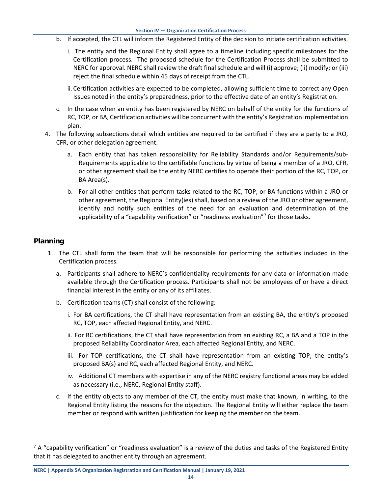- b. If accepted, the CTL will inform the Registered Entity of the decision to initiate certification activities.
	- i. The entity and the Regional Entity shall agree to a timeline including specific milestones for the Certification process. The proposed schedule for the Certification Process shall be submitted to NERC for approval. NERC shall review the draft final schedule and will (i) approve; (ii) modify; or (iii) reject the final schedule within 45 days of receipt from the CTL.
	- ii. Certification activities are expected to be completed, allowing sufficient time to correct any Open Issues noted in the entity's preparedness, prior to the effective date of an entity's Registration.
- c. In the case when an entity has been registered by NERC on behalf of the entity for the functions of RC, TOP, or BA, Certification activities will be concurrent with the entity's Registration implementation plan.
- 4. The following subsections detail which entities are required to be certified if they are a party to a JRO, CFR, or other delegation agreement.
	- a. Each entity that has taken responsibility for Reliability Standards and/or Requirements/sub-Requirements applicable to the certifiable functions by virtue of being a member of a JRO, CFR, or other agreement shall be the entity NERC certifies to operate their portion of the RC, TOP, or BA Area(s).
	- b. For all other entities that perform tasks related to the RC, TOP, or BA functions within a JRO or other agreement, the Regional Entity(ies) shall, based on a review of the JRO or other agreement, identify and notify such entities of the need for an evaluation and determination of the applicability of a "capability verification" or "readiness evaluation"<sup>[7](#page-16-1)</sup> for those tasks.

#### <span id="page-16-0"></span>**Planning**

- 1. The CTL shall form the team that will be responsible for performing the activities included in the Certification process.
	- a. Participants shall adhere to NERC's confidentiality requirements for any data or information made available through the Certification process. Participants shall not be employees of or have a direct financial interest in the entity or any of its affiliates.
	- b. Certification teams (CT) shall consist of the following:
		- i. For BA certifications, the CT shall have representation from an existing BA, the entity's proposed RC, TOP, each affected Regional Entity, and NERC.
		- ii. For RC certifications, the CT shall have representation from an existing RC, a BA and a TOP in the proposed Reliability Coordinator Area, each affected Regional Entity, and NERC.
		- iii. For TOP certifications, the CT shall have representation from an existing TOP, the entity's proposed BA(s) and RC, each affected Regional Entity, and NERC.
		- iv. Additional CT members with expertise in any of the NERC registry functional areas may be added as necessary (i.e., NERC, Regional Entity staff).
	- c. If the entity objects to any member of the CT, the entity must make that known, in writing, to the Regional Entity listing the reasons for the objection. The Regional Entity will either replace the team member or respond with written justification for keeping the member on the team.

<span id="page-16-1"></span> $7$  A "capability verification" or "readiness evaluation" is a review of the duties and tasks of the Registered Entity that it has delegated to another entity through an agreement.

**NERC | Appendix 5A Organization Registration and Certification Manual | January 19, 2021**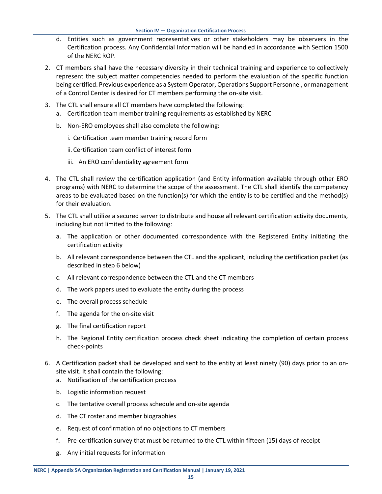- d. Entities such as government representatives or other stakeholders may be observers in the Certification process. Any Confidential Information will be handled in accordance with Section 1500 of the NERC ROP.
- 2. CT members shall have the necessary diversity in their technical training and experience to collectively represent the subject matter competencies needed to perform the evaluation of the specific function being certified. Previous experience as a System Operator, Operations Support Personnel, or management of a Control Center is desired for CT members performing the on-site visit.
- 3. The CTL shall ensure all CT members have completed the following:
	- a. Certification team member training requirements as established by NERC
	- b. Non-ERO employees shall also complete the following:
		- i. Certification team member training record form
		- ii. Certification team conflict of interest form
		- iii. An ERO confidentiality agreement form
- 4. The CTL shall review the certification application (and Entity information available through other ERO programs) with NERC to determine the scope of the assessment. The CTL shall identify the competency areas to be evaluated based on the function(s) for which the entity is to be certified and the method(s) for their evaluation.
- 5. The CTL shall utilize a secured server to distribute and house all relevant certification activity documents, including but not limited to the following:
	- a. The application or other documented correspondence with the Registered Entity initiating the certification activity
	- b. All relevant correspondence between the CTL and the applicant, including the certification packet (as described in step 6 below)
	- c. All relevant correspondence between the CTL and the CT members
	- d. The work papers used to evaluate the entity during the process
	- e. The overall process schedule
	- f. The agenda for the on-site visit
	- g. The final certification report
	- h. The Regional Entity certification process check sheet indicating the completion of certain process check-points
- 6. A Certification packet shall be developed and sent to the entity at least ninety (90) days prior to an onsite visit. It shall contain the following:
	- a. Notification of the certification process
	- b. Logistic information request
	- c. The tentative overall process schedule and on-site agenda
	- d. The CT roster and member biographies
	- e. Request of confirmation of no objections to CT members
	- f. Pre-certification survey that must be returned to the CTL within fifteen (15) days of receipt
	- g. Any initial requests for information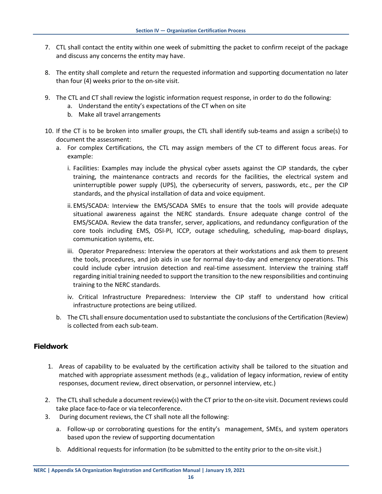- 7. CTL shall contact the entity within one week of submitting the packet to confirm receipt of the package and discuss any concerns the entity may have.
- 8. The entity shall complete and return the requested information and supporting documentation no later than four (4) weeks prior to the on-site visit.
- 9. The CTL and CT shall review the logistic information request response, in order to do the following:
	- a. Understand the entity's expectations of the CT when on site
	- b. Make all travel arrangements
- 10. If the CT is to be broken into smaller groups, the CTL shall identify sub-teams and assign a scribe(s) to document the assessment:
	- a. For complex Certifications, the CTL may assign members of the CT to different focus areas. For example:
		- i. Facilities: Examples may include the physical cyber assets against the CIP standards, the cyber training, the maintenance contracts and records for the facilities, the electrical system and uninterruptible power supply (UPS), the cybersecurity of servers, passwords, etc., per the CIP standards, and the physical installation of data and voice equipment.
		- ii. EMS/SCADA: Interview the EMS/SCADA SMEs to ensure that the tools will provide adequate situational awareness against the NERC standards. Ensure adequate change control of the EMS/SCADA. Review the data transfer, server, applications, and redundancy configuration of the core tools including EMS, OSI-PI, ICCP, outage scheduling, scheduling, map-board displays, communication systems, etc.
		- iii. Operator Preparedness: Interview the operators at their workstations and ask them to present the tools, procedures, and job aids in use for normal day-to-day and emergency operations. This could include cyber intrusion detection and real-time assessment. Interview the training staff regarding initial training needed to support the transition to the new responsibilities and continuing training to the NERC standards.
		- iv. Critical Infrastructure Preparedness: Interview the CIP staff to understand how critical infrastructure protections are being utilized.
	- b. The CTL shall ensure documentation used to substantiate the conclusions of the Certification (Review) is collected from each sub-team.

#### <span id="page-18-0"></span>**Fieldwork**

- 1. Areas of capability to be evaluated by the certification activity shall be tailored to the situation and matched with appropriate assessment methods (e.g., validation of legacy information, review of entity responses, document review, direct observation, or personnel interview, etc.)
- 2. The CTL shall schedule a document review(s) with the CT prior to the on-site visit. Document reviews could take place face-to-face or via teleconference.
- 3. During document reviews, the CT shall note all the following:
	- a. Follow-up or corroborating questions for the entity's management, SMEs, and system operators based upon the review of supporting documentation
	- b. Additional requests for information (to be submitted to the entity prior to the on-site visit.)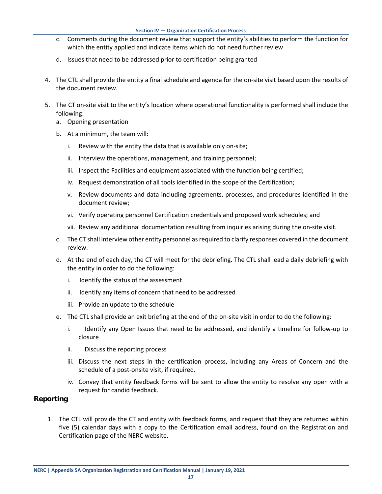- c. Comments during the document review that support the entity's abilities to perform the function for which the entity applied and indicate items which do not need further review
- d. Issues that need to be addressed prior to certification being granted
- 4. The CTL shall provide the entity a final schedule and agenda for the on-site visit based upon the results of the document review.
- 5. The CT on-site visit to the entity's location where operational functionality is performed shall include the following:
	- a. Opening presentation
	- b. At a minimum, the team will:
		- i. Review with the entity the data that is available only on-site;
		- ii. Interview the operations, management, and training personnel;
		- iii. Inspect the Facilities and equipment associated with the function being certified;
		- iv. Request demonstration of all tools identified in the scope of the Certification;
		- v. Review documents and data including agreements, processes, and procedures identified in the document review;
		- vi. Verify operating personnel Certification credentials and proposed work schedules; and
		- vii. Review any additional documentation resulting from inquiries arising during the on-site visit.
	- c. The CT shall interview other entity personnel as required to clarify responses covered in the document review.
	- d. At the end of each day, the CT will meet for the debriefing. The CTL shall lead a daily debriefing with the entity in order to do the following:
		- i. Identify the status of the assessment
		- ii. Identify any items of concern that need to be addressed
		- iii. Provide an update to the schedule
	- e. The CTL shall provide an exit briefing at the end of the on-site visit in order to do the following:
		- i. Identify any Open Issues that need to be addressed, and identify a timeline for follow-up to closure
		- ii. Discuss the reporting process
		- iii. Discuss the next steps in the certification process, including any Areas of Concern and the schedule of a post-onsite visit, if required.
		- iv. Convey that entity feedback forms will be sent to allow the entity to resolve any open with a request for candid feedback.

#### <span id="page-19-0"></span>**Reporting**

1. The CTL will provide the CT and entity with feedback forms, and request that they are returned within five (5) calendar days with a copy to the Certification email address, found on the Registration and Certification page of the NERC website.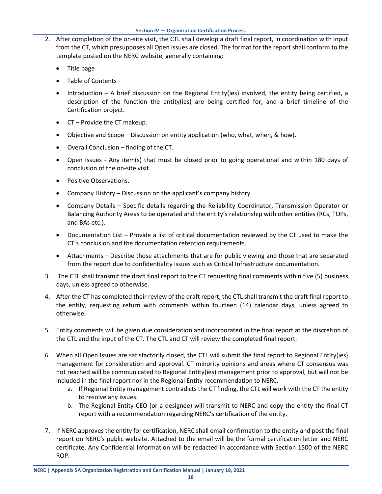- 2. After completion of the on-site visit, the CTL shall develop a draft final report, in coordination with input from the CT, which presupposes all Open Issues are closed. The format for the report shall conform to the template posted on the NERC website, generally containing:
	- Title page
	- Table of Contents
	- Introduction A brief discussion on the Regional Entity(ies) involved, the entity being certified, a description of the function the entity(ies) are being certified for, and a brief timeline of the Certification project.
	- CT Provide the CT makeup.
	- Objective and Scope Discussion on entity application (who, what, when, & how).
	- Overall Conclusion finding of the CT.
	- Open Issues Any item(s) that must be closed prior to going operational and within 180 days of conclusion of the on-site visit.
	- Positive Observations.
	- Company History Discussion on the applicant's company history.
	- Company Details Specific details regarding the Reliability Coordinator, Transmission Operator or Balancing Authority Areas to be operated and the entity's relationship with other entities (RCs, TOPs, and BAs etc.).
	- Documentation List Provide a list of critical documentation reviewed by the CT used to make the CT's conclusion and the documentation retention requirements.
	- Attachments Describe those attachments that are for public viewing and those that are separated from the report due to confidentiality issues such as Critical Infrastructure documentation.
- 3. The CTL shall transmit the draft final report to the CT requesting final comments within five (5) business days, unless agreed to otherwise.
- 4. After the CT has completed their review of the draft report, the CTL shall transmit the draft final report to the entity, requesting return with comments within fourteen (14) calendar days, unless agreed to otherwise.
- 5. Entity comments will be given due consideration and incorporated in the final report at the discretion of the CTL and the input of the CT. The CTL and CT will review the completed final report.
- 6. When all Open Issues are satisfactorily closed, the CTL will submit the final report to Regional Entity(ies) management for consideration and approval. CT minority opinions and areas where CT consensus was not reached will be communicated to Regional Entity(ies) management prior to approval, but will not be included in the final report nor in the Regional Entity recommendation to NERC.
	- a. If Regional Entity management contradicts the CT finding, the CTL will work with the CT the entity to resolve any issues.
	- b. The Regional Entity CEO (or a designee) will transmit to NERC and copy the entity the final CT report with a recommendation regarding NERC's certification of the entity.
- 7. If NERC approves the entity for certification, NERC shall email confirmation to the entity and post the final report on NERC's public website. Attached to the email will be the formal certification letter and NERC certificate. Any Confidential Information will be redacted in accordance with Section 1500 of the NERC ROP.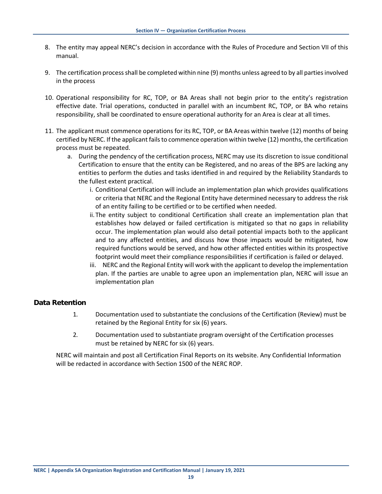- 8. The entity may appeal NERC's decision in accordance with the Rules of Procedure and Section VII of this manual.
- 9. The certification process shall be completed within nine (9) months unless agreed to by all parties involved in the process
- 10. Operational responsibility for RC, TOP, or BA Areas shall not begin prior to the entity's registration effective date. Trial operations, conducted in parallel with an incumbent RC, TOP, or BA who retains responsibility, shall be coordinated to ensure operational authority for an Area is clear at all times.
- 11. The applicant must commence operations for its RC, TOP, or BA Areas within twelve (12) months of being certified by NERC. If the applicant fails to commence operation within twelve (12) months, the certification process must be repeated.
	- a. During the pendency of the certification process, NERC may use its discretion to issue conditional Certification to ensure that the entity can be Registered, and no areas of the BPS are lacking any entities to perform the duties and tasks identified in and required by the Reliability Standards to the fullest extent practical.
		- i. Conditional Certification will include an implementation plan which provides qualifications or criteria that NERC and the Regional Entity have determined necessary to address the risk of an entity failing to be certified or to be certified when needed.
		- ii.The entity subject to conditional Certification shall create an implementation plan that establishes how delayed or failed certification is mitigated so that no gaps in reliability occur. The implementation plan would also detail potential impacts both to the applicant and to any affected entities, and discuss how those impacts would be mitigated, how required functions would be served, and how other affected entities within its prospective footprint would meet their compliance responsibilities if certification is failed or delayed.
		- iii. NERC and the Regional Entity will work with the applicant to develop the implementation plan. If the parties are unable to agree upon an implementation plan, NERC will issue an implementation plan

#### <span id="page-21-0"></span>**Data Retention**

- 1. Documentation used to substantiate the conclusions of the Certification (Review) must be retained by the Regional Entity for six (6) years.
- 2. Documentation used to substantiate program oversight of the Certification processes must be retained by NERC for six (6) years.

NERC will maintain and post all Certification Final Reports on its website. Any Confidential Information will be redacted in accordance with Section 1500 of the NERC ROP.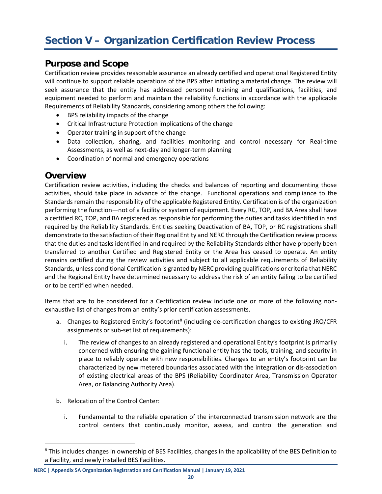#### <span id="page-22-1"></span><span id="page-22-0"></span>**Purpose and Scope**

Certification review provides reasonable assurance an already certified and operational Registered Entity will continue to support reliable operations of the BPS after initiating a material change. The review will seek assurance that the entity has addressed personnel training and qualifications, facilities, and equipment needed to perform and maintain the reliability functions in accordance with the applicable Requirements of Reliability Standards, considering among others the following:

- BPS reliability impacts of the change
- Critical Infrastructure Protection implications of the change
- Operator training in support of the change
- Data collection, sharing, and facilities monitoring and control necessary for Real-time Assessments, as well as next-day and longer-term planning
- Coordination of normal and emergency operations

#### <span id="page-22-2"></span>**Overview**

Certification review activities, including the checks and balances of reporting and documenting those activities, should take place in advance of the change. Functional operations and compliance to the Standards remain the responsibility of the applicable Registered Entity. Certification is of the organization performing the function—not of a facility or system of equipment. Every RC, TOP, and BA Area shall have a certified RC, TOP, and BA registered as responsible for performing the duties and tasks identified in and required by the Reliability Standards. Entities seeking Deactivation of BA, TOP, or RC registrations shall demonstrate to the satisfaction of their Regional Entity and NERC through the Certification review process that the duties and tasks identified in and required by the Reliability Standards either have properly been transferred to another Certified and Registered Entity or the Area has ceased to operate. An entity remains certified during the review activities and subject to all applicable requirements of Reliability Standards, unless conditional Certification is granted by NERC providing qualifications or criteria that NERC and the Regional Entity have determined necessary to address the risk of an entity failing to be certified or to be certified when needed.

Items that are to be considered for a Certification review include one or more of the following nonexhaustive list of changes from an entity's prior certification assessments.

- a. Changes to Registered Entity's footprint<sup>8</sup> (including de-certification changes to existing JRO/CFR assignments or sub-set list of requirements):
	- i. The review of changes to an already registered and operational Entity's footprint is primarily concerned with ensuring the gaining functional entity has the tools, training, and security in place to reliably operate with new responsibilities. Changes to an entity's footprint can be characterized by new metered boundaries associated with the integration or dis-association of existing electrical areas of the BPS (Reliability Coordinator Area, Transmission Operator Area, or Balancing Authority Area).
- b. Relocation of the Control Center:
	- i. Fundamental to the reliable operation of the interconnected transmission network are the control centers that continuously monitor, assess, and control the generation and

<sup>&</sup>lt;sup>8</sup> This includes changes in ownership of BES Facilities, changes in the applicability of the BES Definition to a Facility, and newly installed BES Facilities.

<span id="page-22-3"></span>**NERC | Appendix 5A Organization Registration and Certification Manual | January 19, 2021**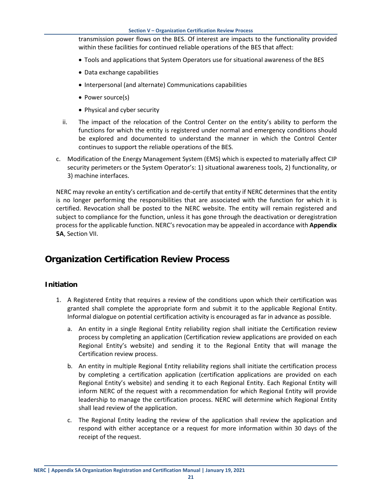transmission power flows on the BES. Of interest are impacts to the functionality provided within these facilities for continued reliable operations of the BES that affect:

- Tools and applications that System Operators use for situational awareness of the BES
- Data exchange capabilities
- Interpersonal (and alternate) Communications capabilities
- Power source(s)
- Physical and cyber security
- ii. The impact of the relocation of the Control Center on the entity's ability to perform the functions for which the entity is registered under normal and emergency conditions should be explored and documented to understand the manner in which the Control Center continues to support the reliable operations of the BES.
- c. Modification of the Energy Management System (EMS) which is expected to materially affect CIP security perimeters or the System Operator's: 1) situational awareness tools, 2) functionality, or 3) machine interfaces.

NERC may revoke an entity's certification and de-certify that entity if NERC determines that the entity is no longer performing the responsibilities that are associated with the function for which it is certified. Revocation shall be posted to the NERC website. The entity will remain registered and subject to compliance for the function, unless it has gone through the deactivation or deregistration process for the applicable function. NERC's revocation may be appealed in accordance with **Appendix 5A**, Section VII.

## <span id="page-23-0"></span>**Organization Certification Review Process**

#### <span id="page-23-1"></span>**Initiation**

- 1. A Registered Entity that requires a review of the conditions upon which their certification was granted shall complete the appropriate form and submit it to the applicable Regional Entity. Informal dialogue on potential certification activity is encouraged as far in advance as possible.
	- a. An entity in a single Regional Entity reliability region shall initiate the Certification review process by completing an application (Certification review applications are provided on each Regional Entity's website) and sending it to the Regional Entity that will manage the Certification review process.
	- b. An entity in multiple Regional Entity reliability regions shall initiate the certification process by completing a certification application (certification applications are provided on each Regional Entity's website) and sending it to each Regional Entity. Each Regional Entity will inform NERC of the request with a recommendation for which Regional Entity will provide leadership to manage the certification process. NERC will determine which Regional Entity shall lead review of the application.
	- c. The Regional Entity leading the review of the application shall review the application and respond with either acceptance or a request for more information within 30 days of the receipt of the request.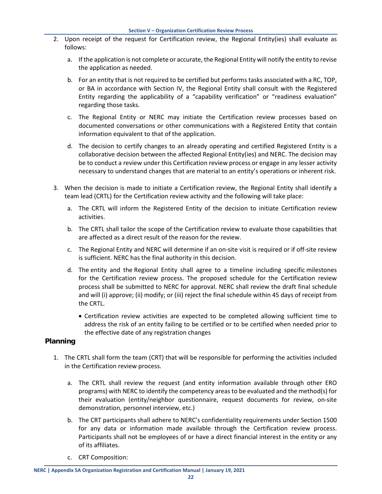- 2. Upon receipt of the request for Certification review, the Regional Entity(ies) shall evaluate as follows:
	- a. If the application is not complete or accurate, the Regional Entity will notify the entity to revise the application as needed.
	- b. For an entity that is not required to be certified but performs tasks associated with a RC, TOP, or BA in accordance with Section IV, the Regional Entity shall consult with the Registered Entity regarding the applicability of a "capability verification" or "readiness evaluation" regarding those tasks.
	- c. The Regional Entity or NERC may initiate the Certification review processes based on documented conversations or other communications with a Registered Entity that contain information equivalent to that of the application.
	- d. The decision to certify changes to an already operating and certified Registered Entity is a collaborative decision between the affected Regional Entity(ies) and NERC. The decision may be to conduct a review under this Certification review process or engage in any lesser activity necessary to understand changes that are material to an entity's operations or inherent risk.
- 3. When the decision is made to initiate a Certification review, the Regional Entity shall identify a team lead (CRTL) for the Certification review activity and the following will take place:
	- a. The CRTL will inform the Registered Entity of the decision to initiate Certification review activities.
	- b. The CRTL shall tailor the scope of the Certification review to evaluate those capabilities that are affected as a direct result of the reason for the review.
	- c. The Regional Entity and NERC will determine if an on-site visit is required or if off-site review is sufficient. NERC has the final authority in this decision.
	- d. The entity and the Regional Entity shall agree to a timeline including specific milestones for the Certification review process. The proposed schedule for the Certification review process shall be submitted to NERC for approval. NERC shall review the draft final schedule and will (i) approve; (ii) modify; or (iii) reject the final schedule within 45 days of receipt from the CRTL.
		- Certification review activities are expected to be completed allowing sufficient time to address the risk of an entity failing to be certified or to be certified when needed prior to the effective date of any registration changes

#### <span id="page-24-0"></span>**Planning**

- 1. The CRTL shall form the team (CRT) that will be responsible for performing the activities included in the Certification review process.
	- a. The CRTL shall review the request (and entity information available through other ERO programs) with NERC to identify the competency areas to be evaluated and the method(s) for their evaluation (entity/neighbor questionnaire, request documents for review, on-site demonstration, personnel interview, etc.)
	- b. The CRT participants shall adhere to NERC's confidentiality requirements under Section 1500 for any data or information made available through the Certification review process. Participants shall not be employees of or have a direct financial interest in the entity or any of its affiliates.
	- c. CRT Composition: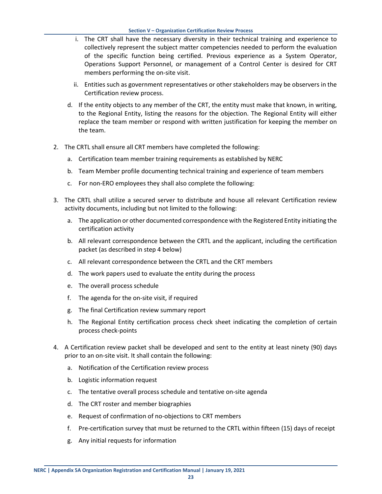- i. The CRT shall have the necessary diversity in their technical training and experience to collectively represent the subject matter competencies needed to perform the evaluation of the specific function being certified. Previous experience as a System Operator, Operations Support Personnel, or management of a Control Center is desired for CRT members performing the on-site visit.
- ii. Entities such as government representatives or other stakeholders may be observers in the Certification review process.
- d. If the entity objects to any member of the CRT, the entity must make that known, in writing, to the Regional Entity, listing the reasons for the objection. The Regional Entity will either replace the team member or respond with written justification for keeping the member on the team.
- 2. The CRTL shall ensure all CRT members have completed the following:
	- a. Certification team member training requirements as established by NERC
	- b. Team Member profile documenting technical training and experience of team members
	- c. For non-ERO employees they shall also complete the following:
- 3. The CRTL shall utilize a secured server to distribute and house all relevant Certification review activity documents, including but not limited to the following:
	- a. The application or other documented correspondence with the Registered Entity initiating the certification activity
	- b. All relevant correspondence between the CRTL and the applicant, including the certification packet (as described in step 4 below)
	- c. All relevant correspondence between the CRTL and the CRT members
	- d. The work papers used to evaluate the entity during the process
	- e. The overall process schedule
	- f. The agenda for the on-site visit, if required
	- g. The final Certification review summary report
	- h. The Regional Entity certification process check sheet indicating the completion of certain process check-points
- 4. A Certification review packet shall be developed and sent to the entity at least ninety (90) days prior to an on-site visit. It shall contain the following:
	- a. Notification of the Certification review process
	- b. Logistic information request
	- c. The tentative overall process schedule and tentative on-site agenda
	- d. The CRT roster and member biographies
	- e. Request of confirmation of no-objections to CRT members
	- f. Pre-certification survey that must be returned to the CRTL within fifteen (15) days of receipt
	- g. Any initial requests for information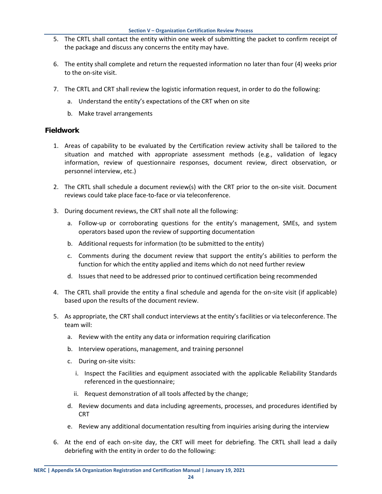- 5. The CRTL shall contact the entity within one week of submitting the packet to confirm receipt of the package and discuss any concerns the entity may have.
- 6. The entity shall complete and return the requested information no later than four (4) weeks prior to the on-site visit.
- 7. The CRTL and CRT shall review the logistic information request, in order to do the following:
	- a. Understand the entity's expectations of the CRT when on site
	- b. Make travel arrangements

#### <span id="page-26-0"></span>**Fieldwork**

- 1. Areas of capability to be evaluated by the Certification review activity shall be tailored to the situation and matched with appropriate assessment methods (e.g., validation of legacy information, review of questionnaire responses, document review, direct observation, or personnel interview, etc.)
- 2. The CRTL shall schedule a document review(s) with the CRT prior to the on-site visit. Document reviews could take place face-to-face or via teleconference.
- 3. During document reviews, the CRT shall note all the following:
	- a. Follow-up or corroborating questions for the entity's management, SMEs, and system operators based upon the review of supporting documentation
	- b. Additional requests for information (to be submitted to the entity)
	- c. Comments during the document review that support the entity's abilities to perform the function for which the entity applied and items which do not need further review
	- d. Issues that need to be addressed prior to continued certification being recommended
- 4. The CRTL shall provide the entity a final schedule and agenda for the on-site visit (if applicable) based upon the results of the document review.
- 5. As appropriate, the CRT shall conduct interviews at the entity's facilities or via teleconference. The team will:
	- a. Review with the entity any data or information requiring clarification
	- b. Interview operations, management, and training personnel
	- c. During on-site visits:
		- i. Inspect the Facilities and equipment associated with the applicable Reliability Standards referenced in the questionnaire;
		- ii. Request demonstration of all tools affected by the change;
	- d. Review documents and data including agreements, processes, and procedures identified by CRT
	- e. Review any additional documentation resulting from inquiries arising during the interview
- 6. At the end of each on-site day, the CRT will meet for debriefing. The CRTL shall lead a daily debriefing with the entity in order to do the following: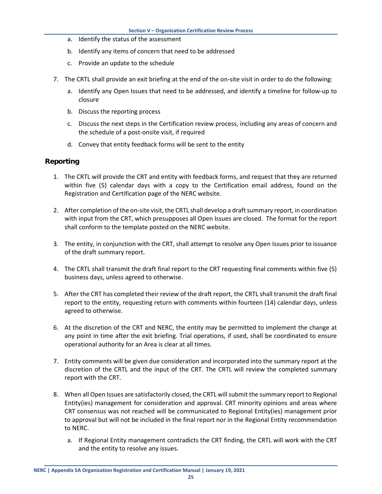- a. Identify the status of the assessment
- b. Identify any items of concern that need to be addressed
- c. Provide an update to the schedule
- 7. The CRTL shall provide an exit briefing at the end of the on-site visit in order to do the following:
	- a. Identify any Open Issues that need to be addressed, and identify a timeline for follow-up to closure
	- b. Discuss the reporting process
	- c. Discuss the next steps in the Certification review process, including any areas of concern and the schedule of a post-onsite visit, if required
	- d. Convey that entity feedback forms will be sent to the entity

#### <span id="page-27-0"></span>**Reporting**

- 1. The CRTL will provide the CRT and entity with feedback forms, and request that they are returned within five (5) calendar days with a copy to the Certification email address, found on the Registration and Certification page of the NERC website.
- 2. After completion of the on-site visit, the CRTL shall develop a draft summary report, in coordination with input from the CRT, which presupposes all Open Issues are closed. The format for the report shall conform to the template posted on the NERC website.
- 3. The entity, in conjunction with the CRT, shall attempt to resolve any Open Issues prior to issuance of the draft summary report.
- 4. The CRTL shall transmit the draft final report to the CRT requesting final comments within five (5) business days, unless agreed to otherwise.
- 5. After the CRT has completed their review of the draft report, the CRTL shall transmit the draft final report to the entity, requesting return with comments within fourteen (14) calendar days, unless agreed to otherwise.
- 6. At the discretion of the CRT and NERC, the entity may be permitted to implement the change at any point in time after the exit briefing. Trial operations, if used, shall be coordinated to ensure operational authority for an Area is clear at all times.
- 7. Entity comments will be given due consideration and incorporated into the summary report at the discretion of the CRTL and the input of the CRT. The CRTL will review the completed summary report with the CRT.
- 8. When all Open Issues are satisfactorily closed, the CRTL will submit the summary report to Regional Entity(ies) management for consideration and approval. CRT minority opinions and areas where CRT consensus was not reached will be communicated to Regional Entity(ies) management prior to approval but will not be included in the final report nor in the Regional Entity recommendation to NERC.
	- a. If Regional Entity management contradicts the CRT finding, the CRTL will work with the CRT and the entity to resolve any issues.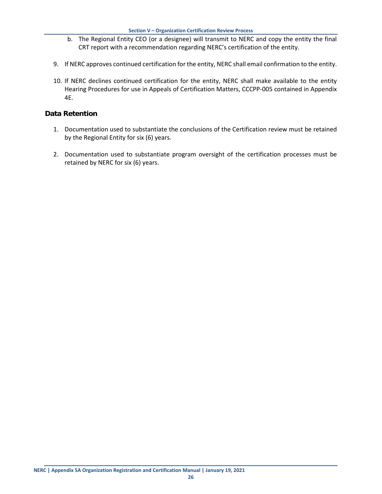- b. The Regional Entity CEO (or a designee) will transmit to NERC and copy the entity the final CRT report with a recommendation regarding NERC's certification of the entity.
- 9. If NERC approves continued certification for the entity, NERC shall email confirmation to the entity.
- 10. If NERC declines continued certification for the entity, NERC shall make available to the entity Hearing Procedures for use in Appeals of Certification Matters, CCCPP-005 contained in Appendix 4E.

#### <span id="page-28-0"></span>**Data Retention**

- 1. Documentation used to substantiate the conclusions of the Certification review must be retained by the Regional Entity for six (6) years.
- 2. Documentation used to substantiate program oversight of the certification processes must be retained by NERC for six (6) years.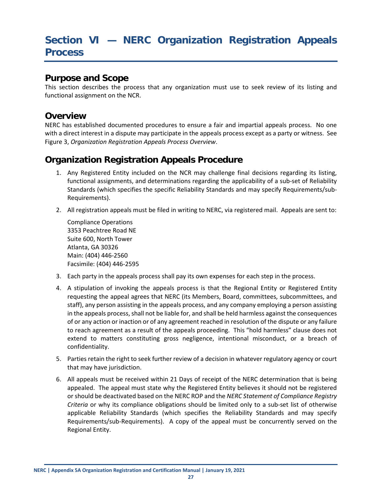## <span id="page-29-0"></span>**Section VI — NERC Organization Registration Appeals Process**

#### <span id="page-29-1"></span>**Purpose and Scope**

This section describes the process that any organization must use to seek review of its listing and functional assignment on the NCR.

#### <span id="page-29-2"></span>**Overview**

NERC has established documented procedures to ensure a fair and impartial appeals process. No one with a direct interest in a dispute may participate in the appeals process except as a party or witness. See Figure 3, *Organization Registration Appeals Process Overview*.

#### <span id="page-29-3"></span>**Organization Registration Appeals Procedure**

- 1. Any Registered Entity included on the NCR may challenge final decisions regarding its listing, functional assignments, and determinations regarding the applicability of a sub-set of Reliability Standards (which specifies the specific Reliability Standards and may specify Requirements/sub-Requirements).
- 2. All registration appeals must be filed in writing to NERC, via registered mail. Appeals are sent to:

Compliance Operations 3353 Peachtree Road NE Suite 600, North Tower Atlanta, GA 30326 Main: (404) 446-2560 Facsimile: (404) 446-2595

- 3. Each party in the appeals process shall pay its own expenses for each step in the process.
- 4. A stipulation of invoking the appeals process is that the Regional Entity or Registered Entity requesting the appeal agrees that NERC (its Members, Board, committees, subcommittees, and staff), any person assisting in the appeals process, and any company employing a person assisting in the appeals process, shall not be liable for, and shall be held harmless against the consequences of or any action or inaction or of any agreement reached in resolution of the dispute or any failure to reach agreement as a result of the appeals proceeding. This "hold harmless" clause does not extend to matters constituting gross negligence, intentional misconduct, or a breach of confidentiality.
- 5. Parties retain the right to seek further review of a decision in whatever regulatory agency or court that may have jurisdiction.
- 6. All appeals must be received within 21 Days of receipt of the NERC determination that is being appealed. The appeal must state why the Registered Entity believes it should not be registered or should be deactivated based on the NERC ROP and the *NERC Statement of Compliance Registry Criteria* or why its compliance obligations should be limited only to a sub-set list of otherwise applicable Reliability Standards (which specifies the Reliability Standards and may specify Requirements/sub-Requirements). A copy of the appeal must be concurrently served on the Regional Entity.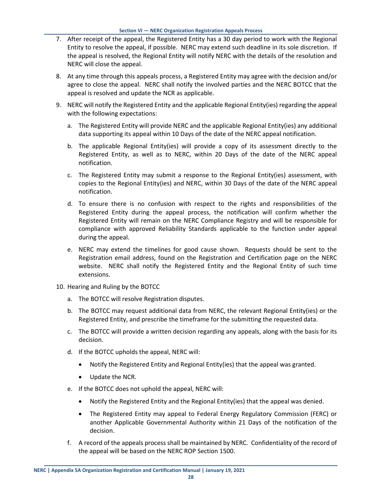- 7. After receipt of the appeal, the Registered Entity has a 30 day period to work with the Regional Entity to resolve the appeal, if possible. NERC may extend such deadline in its sole discretion. If the appeal is resolved, the Regional Entity will notify NERC with the details of the resolution and NERC will close the appeal.
- 8. At any time through this appeals process, a Registered Entity may agree with the decision and/or agree to close the appeal. NERC shall notify the involved parties and the NERC BOTCC that the appeal is resolved and update the NCR as applicable.
- 9. NERC will notify the Registered Entity and the applicable Regional Entity(ies) regarding the appeal with the following expectations:
	- a. The Registered Entity will provide NERC and the applicable Regional Entity(ies) any additional data supporting its appeal within 10 Days of the date of the NERC appeal notification.
	- b. The applicable Regional Entity(ies) will provide a copy of its assessment directly to the Registered Entity, as well as to NERC, within 20 Days of the date of the NERC appeal notification.
	- c. The Registered Entity may submit a response to the Regional Entity(ies) assessment, with copies to the Regional Entity(ies) and NERC, within 30 Days of the date of the NERC appeal notification.
	- d. To ensure there is no confusion with respect to the rights and responsibilities of the Registered Entity during the appeal process, the notification will confirm whether the Registered Entity will remain on the NERC Compliance Registry and will be responsible for compliance with approved Reliability Standards applicable to the function under appeal during the appeal.
	- e. NERC may extend the timelines for good cause shown. Requests should be sent to the Registration email address, found on the Registration and Certification page on the NERC website. NERC shall notify the Registered Entity and the Regional Entity of such time extensions.
- 10. Hearing and Ruling by the BOTCC
	- a. The BOTCC will resolve Registration disputes.
	- b. The BOTCC may request additional data from NERC, the relevant Regional Entity(ies) or the Registered Entity, and prescribe the timeframe for the submitting the requested data.
	- c. The BOTCC will provide a written decision regarding any appeals, along with the basis for its decision.
	- d. If the BOTCC upholds the appeal, NERC will:
		- Notify the Registered Entity and Regional Entity(ies) that the appeal was granted.
		- Update the NCR.
	- e. If the BOTCC does not uphold the appeal, NERC will:
		- Notify the Registered Entity and the Regional Entity(ies) that the appeal was denied.
		- The Registered Entity may appeal to Federal Energy Regulatory Commission (FERC) or another Applicable Governmental Authority within 21 Days of the notification of the decision.
	- f. A record of the appeals process shall be maintained by NERC. Confidentiality of the record of the appeal will be based on the NERC ROP Section 1500.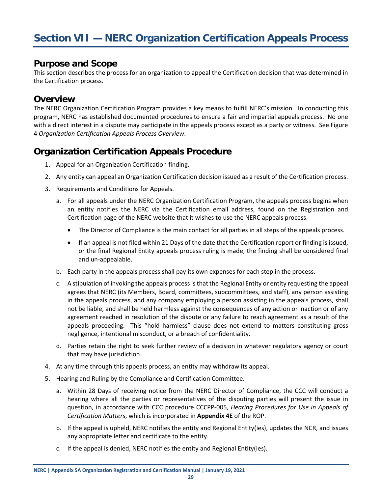#### <span id="page-31-1"></span><span id="page-31-0"></span>**Purpose and Scope**

This section describes the process for an organization to appeal the Certification decision that was determined in the Certification process.

#### <span id="page-31-2"></span>**Overview**

The NERC Organization Certification Program provides a key means to fulfill NERC's mission. In conducting this program, NERC has established documented procedures to ensure a fair and impartial appeals process. No one with a direct interest in a dispute may participate in the appeals process except as a party or witness. See Figure 4 *Organization Certification Appeals Process Overview*.

## <span id="page-31-3"></span>**Organization Certification Appeals Procedure**

- 1. Appeal for an Organization Certification finding.
- 2. Any entity can appeal an Organization Certification decision issued as a result of the Certification process.
- 3. Requirements and Conditions for Appeals.
	- a. For all appeals under the NERC Organization Certification Program, the appeals process begins when an entity notifies the NERC via the Certification email address, found on the Registration and Certification page of the NERC website that it wishes to use the NERC appeals process.
		- The Director of Compliance is the main contact for all parties in all steps of the appeals process.
		- If an appeal is not filed within 21 Days of the date that the Certification report or finding is issued, or the final Regional Entity appeals process ruling is made, the finding shall be considered final and un-appealable.
	- b. Each party in the appeals process shall pay its own expenses for each step in the process.
	- c. A stipulation of invoking the appeals process is that the Regional Entity or entity requesting the appeal agrees that NERC (its Members, Board, committees, subcommittees, and staff), any person assisting in the appeals process, and any company employing a person assisting in the appeals process, shall not be liable, and shall be held harmless against the consequences of any action or inaction or of any agreement reached in resolution of the dispute or any failure to reach agreement as a result of the appeals proceeding. This "hold harmless" clause does not extend to matters constituting gross negligence, intentional misconduct, or a breach of confidentiality.
	- d. Parties retain the right to seek further review of a decision in whatever regulatory agency or court that may have jurisdiction.
- 4. At any time through this appeals process, an entity may withdraw its appeal.
- 5. Hearing and Ruling by the Compliance and Certification Committee.
	- a. Within 28 Days of receiving notice from the NERC Director of Compliance, the CCC will conduct a hearing where all the parties or representatives of the disputing parties will present the issue in question, in accordance with CCC procedure CCCPP-005, *Hearing Procedures for Use in Appeals of Certification Matters*, which is incorporated in **Appendix 4E** of the ROP.
	- b. If the appeal is upheld, NERC notifies the entity and Regional Entity(ies), updates the NCR, and issues any appropriate letter and certificate to the entity.
	- c. If the appeal is denied, NERC notifies the entity and Regional Entity(ies).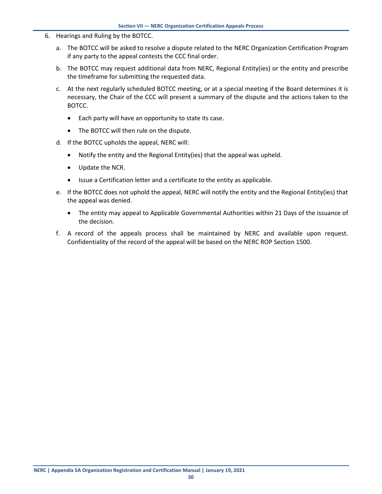- 6. Hearings and Ruling by the BOTCC.
	- a. The BOTCC will be asked to resolve a dispute related to the NERC Organization Certification Program if any party to the appeal contests the CCC final order.
	- b. The BOTCC may request additional data from NERC, Regional Entity(ies) or the entity and prescribe the timeframe for submitting the requested data.
	- c. At the next regularly scheduled BOTCC meeting, or at a special meeting if the Board determines it is necessary, the Chair of the CCC will present a summary of the dispute and the actions taken to the BOTCC.
		- Each party will have an opportunity to state its case.
		- The BOTCC will then rule on the dispute.
	- d. If the BOTCC upholds the appeal, NERC will:
		- Notify the entity and the Regional Entity(ies) that the appeal was upheld.
		- Update the NCR.
		- Issue a Certification letter and a certificate to the entity as applicable.
	- e. If the BOTCC does not uphold the appeal, NERC will notify the entity and the Regional Entity(ies) that the appeal was denied.
		- The entity may appeal to Applicable Governmental Authorities within 21 Days of the issuance of the decision.
	- f. A record of the appeals process shall be maintained by NERC and available upon request. Confidentiality of the record of the appeal will be based on the NERC ROP Section 1500.